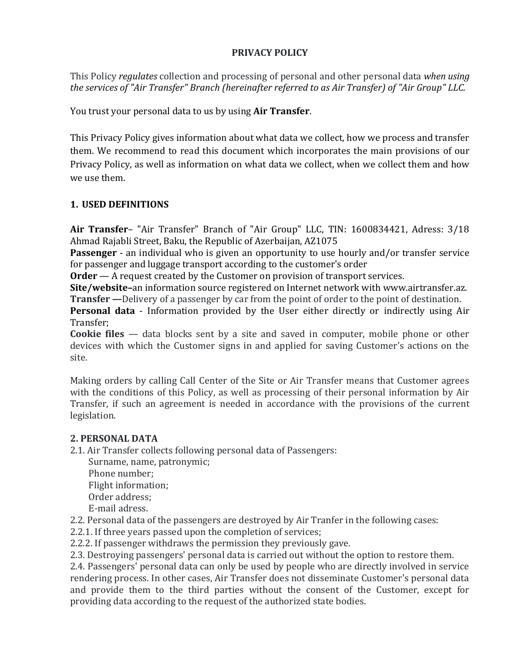#### **PRIVACY POLICY**

This Policy *regulates* collection and processing of personal and other personal data *when using the services of "Air Transfer" Branch (hereinafter referred to as Air Transfer) of "Air Group" LLC.*

You trust your personal data to us by using **Air Transfer**.

This Privacy Policy gives information about what data we collect, how we process and transfer them. We recommend to read this document which incorporates the main provisions of our Privacy Policy, as well as information on what data we collect, when we collect them and how we use them.

# **1. USED DEFINITIONS**

**Air Transfer**– "Air Transfer" Branch of "Air Group" LLC, TIN: 1600834421, Adress: 3/18 Ahmad Rajabli Street, Baku, the Republic of Azerbaijan, AZ1075

**Passenger** - an individual who is given an opportunity to use hourly and/or transfer service for passenger and luggage transport according to the customer's order

**Order** — A request created by the Customer on provision of transport services.

**Site/website–**an information source registered on Internet network with www.airtransfer.az. **Transfer** — Delivery of a passenger by car from the point of order to the point of destination.

**Personal data** - Information provided by the User either directly or indirectly using Air Transfer;

**Cookie files** — data blocks sent by a site and saved in computer, mobile phone or other devices with which the Customer signs in and applied for saving Customer's actions on the site.

Making orders by calling Call Center of the Site or Air Transfer means that Customer agrees with the conditions of this Policy, as well as processing of their personal information by Air Transfer, if such an agreement is needed in accordance with the provisions of the current legislation.

## **2. PERSONAL DATA**

2.1. Air Transfer collects following personal data of Passengers:

Surname, name, patronymic; Phone number; Flight information; Order address; E-mail adress.

2.2. Personal data of the passengers are destroyed by Air Tranfer in the following cases:

2.2.1. If three years passed upon the completion of services;

2.2.2. If passenger withdraws the permission they previously gave.

2.3. Destroying passengers' personal data is carried out without the option to restore them.

2.4. Passengers' personal data can only be used by people who are directly involved in service rendering process. In other cases, Air Transfer does not disseminate Customer's personal data and provide them to the third parties without the consent of the Customer, except for providing data according to the request of the authorized state bodies.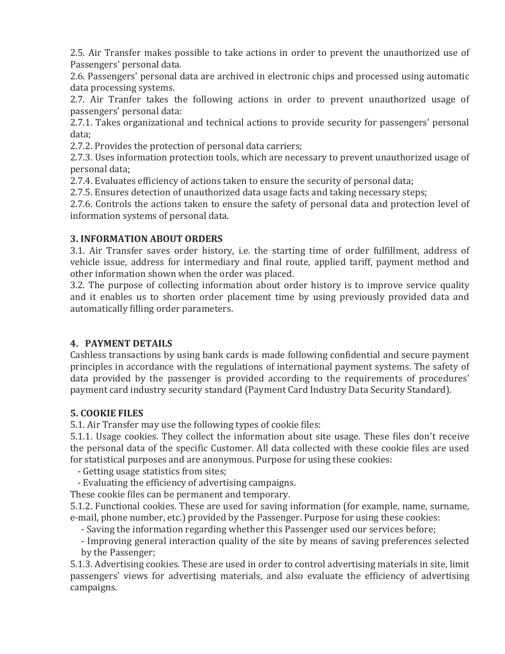2.5. Air Transfer makes possible to take actions in order to prevent the unauthorized use of Passengers' personal data.

2.6. Passengers' personal data are archived in electronic chips and processed using automatic data processing systems.

2.7. Air Tranfer takes the following actions in order to prevent unauthorized usage of passengers' personal data:

2.7.1. Takes organizational and technical actions to provide security for passengers' personal data;

2.7.2. Provides the protection of personal data carriers;

2.7.3. Uses information protection tools, which are necessary to prevent unauthorized usage of personal data;

2.7.4. Evaluates efficiency of actions taken to ensure the security of personal data;

2.7.5. Ensures detection of unauthorized data usage facts and taking necessary steps;

2.7.6. Controls the actions taken to ensure the safety of personal data and protection level of information systems of personal data.

### **3. INFORMATION ABOUT ORDERS**

3.1. Air Transfer saves order history, i.e. the starting time of order fulfillment, address of vehicle issue, address for intermediary and final route, applied tariff, payment method and other information shown when the order was placed.

3.2. The purpose of collecting information about order history is to improve service quality and it enables us to shorten order placement time by using previously provided data and automatically filling order parameters.

## **4. PAYMENT DETAILS**

Cashless transactions by using bank cards is made following confidential and secure payment principles in accordance with the regulations of international payment systems. The safety of data provided by the passenger is provided according to the requirements of procedures' payment card industry security standard (Payment Card Industry Data Security Standard).

## **5. COOKIE FILES**

5.1. Air Transfer may use the following types of cookie files:

5.1.1. Usage cookies. They collect the information about site usage. These files don't receive the personal data of the specific Customer. All data collected with these cookie files are used for statistical purposes and are anonymous. Purpose for using these cookies:

- Getting usage statistics from sites;

- Evaluating the efficiency of advertising campaigns.

These cookie files can be permanent and temporary.

5.1.2. Functional cookies. These are used for saving information (for example, name, surname, e-mail, phone number, etc.) provided by the Passenger. Purpose for using these cookies:

- Saving the information regarding whether this Passenger used our services before;

- Improving general interaction quality of the site by means of saving preferences selected by the Passenger;

5.1.3. Advertising cookies. These are used in order to control advertising materials in site, limit passengers' views for advertising materials, and also evaluate the efficiency of advertising campaigns.